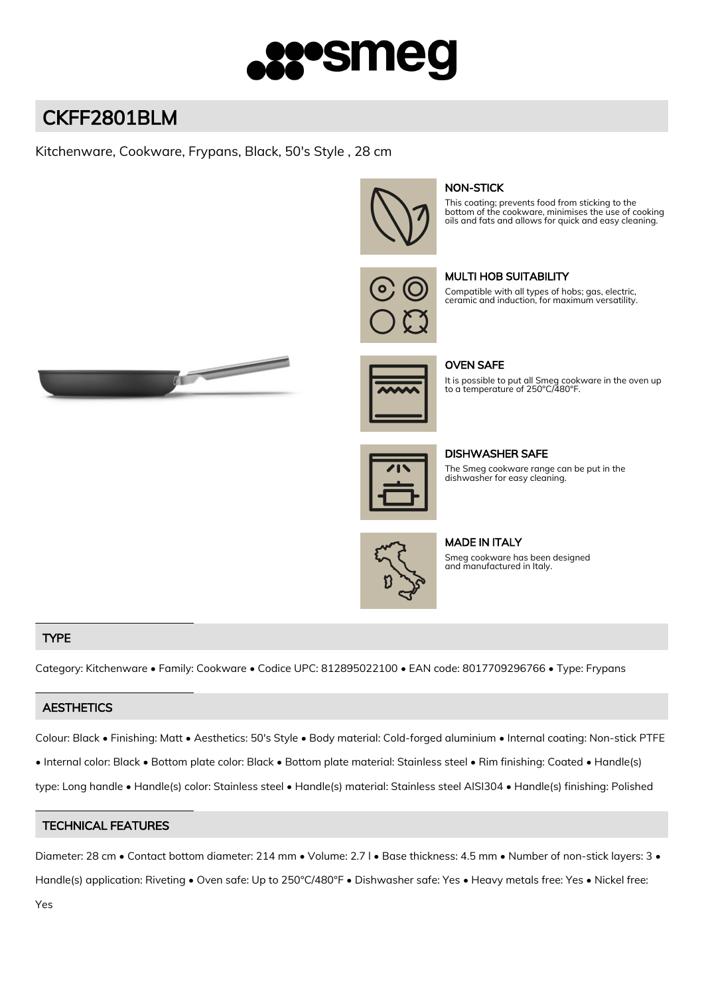

# CKFF2801BLM

# Kitchenware, Cookware, Frypans, Black, 50's Style , 28 cm



# NON-STICK

This coating; prevents food from sticking to the bottom of the cookware, minimises the use of cooking oils and fats and allows for quick and easy cleaning.



## MULTI HOB SUITABILITY

Compatible with all types of hobs; gas, electric, ceramic and induction, for maximum versatility.





OVEN SAFE

It is possible to put all Smeg cookware in the oven up to a temperature of 250°C/480°F.

| 718 |
|-----|
|     |
|     |
|     |
|     |

DISHWASHER SAFE

The Smeg cookware range can be put in the dishwasher for easy cleaning.



MADE IN ITALY Smeg cookware has been designed and manufactured in Italy.

## TYPE

Category: Kitchenware • Family: Cookware • Codice UPC: 812895022100 • EAN code: 8017709296766 • Type: Frypans

## **AESTHETICS**

Colour: Black • Finishing: Matt • Aesthetics: 50's Style • Body material: Cold-forged aluminium • Internal coating: Non-stick PTFE

• Internal color: Black • Bottom plate color: Black • Bottom plate material: Stainless steel • Rim finishing: Coated • Handle(s)

type: Long handle • Handle(s) color: Stainless steel • Handle(s) material: Stainless steel AISI304 • Handle(s) finishing: Polished

## TECHNICAL FEATURES

Diameter: 28 cm • Contact bottom diameter: 214 mm • Volume: 2.7 l • Base thickness: 4.5 mm • Number of non-stick layers: 3 • Handle(s) application: Riveting • Oven safe: Up to 250°C/480°F • Dishwasher safe: Yes • Heavy metals free: Yes • Nickel free: Yes